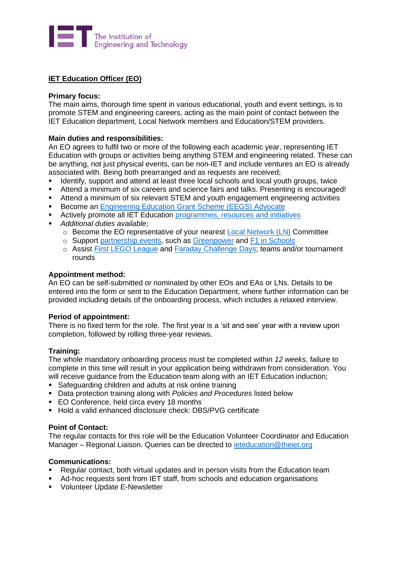

# **IET Education Officer (EO)**

### **Primary focus:**

The main aims, thorough time spent in various educational, youth and event settings, is to promote STEM and engineering careers, acting as the main point of contact between the IET Education department, Local Network members and Education/STEM providers.

### **Main duties and responsibilities:**

An EO agrees to fulfil two or more of the following each academic year, representing IET Education with groups or activities being anything STEM and engineering related. These can be anything, not just physical events, can be non-IET and include ventures an EO is already associated with. Being both prearranged and as requests are received;

- Identify, support and attend at least three local schools and local youth groups, twice
- Attend a minimum of six careers and science fairs and talks. Presenting is encouraged!
- Attend a minimum of six relevant STEM and youth engagement engineering activities
- **Become an [Engineering Education Grant Scheme \(EEGS\) Advocate](https://education.theiet.org/funding/funding-schemes-and-bursaries/)**
- Actively promote all IET Education [programmes, resources and initiatives](https://education.theiet.org/)
- *Additional duties available*;
	- o Become the EO representative of your nearest [Local Network \(LN\)](https://www.theiet.org/membership/communities/local-networks/) Committee
	- o Support [partnership events,](https://education.theiet.org/about-iet-education/partnerships/) such as [Greenpower](https://www.greenpower.co.uk/greenpower-categories) and [F1 in Schools](https://www.f1inschools.co.uk/)
	- o Assist *First* [LEGO League](https://education.theiet.org/first-lego-league-programmes/) and [Faraday Challenge Days;](https://education.theiet.org/faraday-challenge-days/) teams and/or tournament rounds

### **Appointment method:**

An EO can be self-submitted or nominated by other EOs and EAs or LNs. Details to be entered into the form or sent to the Education Department, where further information can be provided including details of the onboarding process, which includes a relaxed interview.

## **Period of appointment:**

There is no fixed term for the role. The first year is a 'sit and see' year with a review upon completion, followed by rolling three-year reviews.

#### **Training:**

The whole mandatory onboarding process must be completed within *12 weeks*, failure to complete in this time will result in your application being withdrawn from consideration. You will receive guidance from the Education team along with an IET Education induction;

- Safeguarding children and adults at risk online training
- Data protection training along with *Policies and Procedures* listed below
- EO Conference, held circa every 18 months
- Hold a valid enhanced disclosure check: DBS/PVG certificate

#### **Point of Contact:**

The regular contacts for this role will be the Education Volunteer Coordinator and Education Manager – Regional Liaison. Queries can be directed to [ieteducation@theiet.org](mailto:ieteducation@theiet.org)

## **Communications:**

- Regular contact, both virtual updates and in person visits from the Education team
- Ad-hoc requests sent from IET staff, from schools and education organisations
- Volunteer Update E-Newsletter